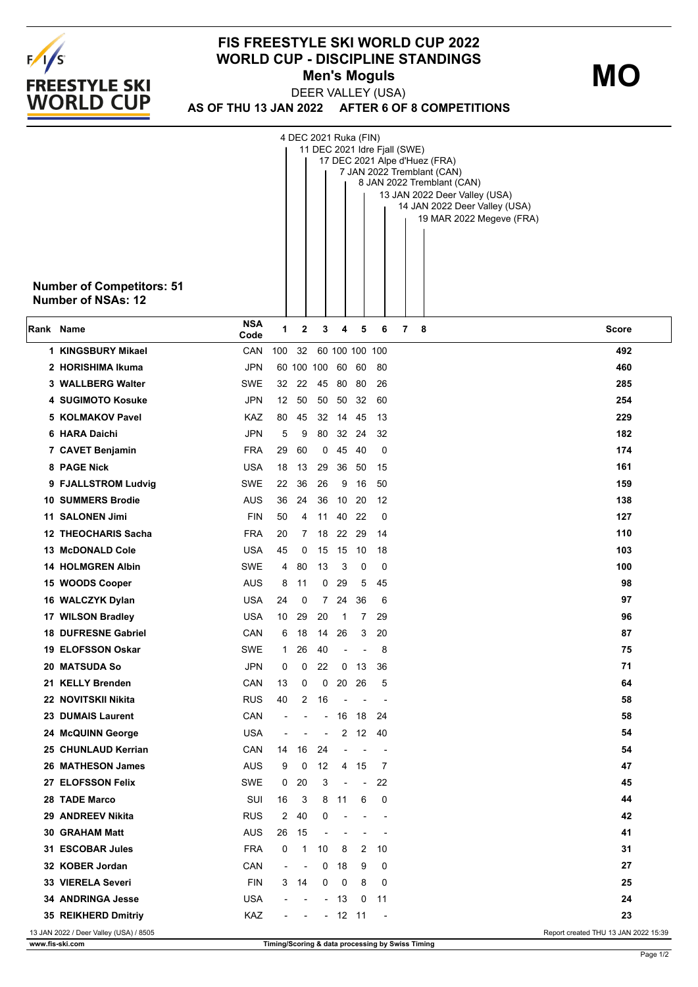

## **FIS FREESTYLE SKI WORLD CUP 2022 WORLD CUP - DISCIPLINE STANDINGS Men's Moguls MO**

**AS OF THU 13 JAN 2022 AFTER 6 OF 8 COMPETITIONS** DEER VALLEY (USA)

|           | <b>Number of Competitors: 51</b><br><b>Number of NSAs: 12</b>                  |                    |                          |    | 4 DEC 2021 Ruka (FIN)    |                          |                          |                          | 11 DEC 2021 Idre Fjall (SWE)<br>17 DEC 2021 Alpe d'Huez (FRA)<br>7 JAN 2022 Tremblant (CAN)<br>8 JAN 2022 Tremblant (CAN)<br>13 JAN 2022 Deer Valley (USA)<br>14 JAN 2022 Deer Valley (USA)<br>19 MAR 2022 Megeve (FRA) |  |  |
|-----------|--------------------------------------------------------------------------------|--------------------|--------------------------|----|--------------------------|--------------------------|--------------------------|--------------------------|-------------------------------------------------------------------------------------------------------------------------------------------------------------------------------------------------------------------------|--|--|
| Rank Name |                                                                                | <b>NSA</b><br>Code | 1                        | 2  | 3                        | 4                        | 5                        | 6                        | $\overline{7}$<br>8<br>Score                                                                                                                                                                                            |  |  |
|           | 1 KINGSBURY Mikael                                                             | <b>CAN</b>         | 100                      | 32 |                          | 60 100 100 100           |                          |                          | 492                                                                                                                                                                                                                     |  |  |
|           | 2 HORISHIMA Ikuma                                                              | <b>JPN</b>         |                          |    | 60 100 100               | 60                       | 60                       | -80                      | 460                                                                                                                                                                                                                     |  |  |
|           | 3 WALLBERG Walter                                                              | <b>SWE</b>         | 32                       | 22 | 45                       |                          | 80 80                    | 26                       | 285                                                                                                                                                                                                                     |  |  |
|           | <b>4 SUGIMOTO Kosuke</b>                                                       | <b>JPN</b>         | 12                       | 50 | 50                       | 50                       | 32                       | 60                       | 254                                                                                                                                                                                                                     |  |  |
|           | 5 KOLMAKOV Pavel                                                               | KAZ                | 80                       | 45 |                          | 32 14                    | 45                       | 13                       | 229                                                                                                                                                                                                                     |  |  |
|           | 6 HARA Daichi                                                                  | <b>JPN</b>         | 5                        | 9  | 80                       | 32                       | 24                       | 32                       | 182                                                                                                                                                                                                                     |  |  |
|           | 7 CAVET Benjamin                                                               | <b>FRA</b>         | 29                       | 60 | 0                        | 45                       | - 40                     | 0                        | 174                                                                                                                                                                                                                     |  |  |
|           | 8 PAGE Nick                                                                    | <b>USA</b>         | 18                       | 13 | 29                       | 36                       | 50                       | 15                       | 161                                                                                                                                                                                                                     |  |  |
|           | 9 FJALLSTROM Ludvig                                                            | <b>SWE</b>         | 22                       | 36 | 26                       | 9                        | 16                       | 50                       | 159                                                                                                                                                                                                                     |  |  |
|           | <b>10 SUMMERS Brodie</b>                                                       | AUS                | 36                       | 24 | 36                       | 10                       | -20                      | 12                       | 138                                                                                                                                                                                                                     |  |  |
|           | 11 SALONEN Jimi                                                                | <b>FIN</b>         | 50                       | 4  | 11                       | 40 22                    |                          | 0                        | 127                                                                                                                                                                                                                     |  |  |
|           | <b>12 THEOCHARIS Sacha</b>                                                     | <b>FRA</b>         | 20                       | 7  | 18                       |                          | 22 29                    | 14                       | 110                                                                                                                                                                                                                     |  |  |
|           | <b>13 McDONALD Cole</b>                                                        | <b>USA</b>         | 45                       | 0  | 15                       | 15                       | 10                       | 18                       | 103                                                                                                                                                                                                                     |  |  |
|           | <b>14 HOLMGREN Albin</b>                                                       | <b>SWE</b>         | 4                        | 80 | 13                       | 3                        | 0                        | 0                        | 100                                                                                                                                                                                                                     |  |  |
|           | 15 WOODS Cooper                                                                | <b>AUS</b>         | 8                        | 11 | 0                        | 29                       | 5                        | 45                       | 98                                                                                                                                                                                                                      |  |  |
|           | 16 WALCZYK Dylan                                                               | <b>USA</b>         | 24                       | 0  | $\overline{7}$           | 24                       | 36                       | 6                        | 97                                                                                                                                                                                                                      |  |  |
|           | 17 WILSON Bradley                                                              | <b>USA</b>         | 10                       | 29 | 20                       | 1                        | 7                        | 29                       | 96                                                                                                                                                                                                                      |  |  |
|           | <b>18 DUFRESNE Gabriel</b>                                                     | CAN                | 6                        | 18 | 14                       | 26                       | 3                        | 20                       | 87                                                                                                                                                                                                                      |  |  |
|           | <b>19 ELOFSSON Oskar</b>                                                       | <b>SWE</b>         | 1                        | 26 | 40                       | $\blacksquare$           |                          | 8                        | 75                                                                                                                                                                                                                      |  |  |
|           | <b>20 MATSUDA So</b>                                                           | <b>JPN</b>         | 0                        | 0  | 22                       | 0                        | 13                       | 36                       | 71                                                                                                                                                                                                                      |  |  |
|           | 21 KELLY Brenden                                                               | CAN                | 13                       | 0  | 0                        | 20                       | 26                       | 5                        | 64                                                                                                                                                                                                                      |  |  |
|           | 22 NOVITSKII Nikita                                                            | <b>RUS</b>         | 40                       | 2  | 16                       |                          |                          |                          | 58                                                                                                                                                                                                                      |  |  |
|           | 23 DUMAIS Laurent                                                              | CAN                | ÷                        |    |                          | - 16                     | 18                       | 24                       | 58                                                                                                                                                                                                                      |  |  |
|           | 24 McQUINN George                                                              | <b>USA</b>         | $\overline{\phantom{0}}$ |    | $\overline{\phantom{a}}$ | $\overline{2}$           | 12                       | 40                       | 54                                                                                                                                                                                                                      |  |  |
|           | 25 CHUNLAUD Kerrian                                                            | CAN                | 14                       | 16 | 24                       | ٠                        |                          | $\overline{\phantom{a}}$ | 54                                                                                                                                                                                                                      |  |  |
|           | 26 MATHESON James                                                              | <b>AUS</b>         | 9                        | 0  | 12                       | 4                        | 15                       | 7                        | 47                                                                                                                                                                                                                      |  |  |
|           | 27 ELOFSSON Felix                                                              | SWE                | 0                        | 20 | 3                        | $\overline{\phantom{a}}$ | $\overline{\phantom{a}}$ | 22                       | 45                                                                                                                                                                                                                      |  |  |
|           | 28 TADE Marco                                                                  | SUI                | 16                       | 3  | 8                        | 11                       | 6                        | 0                        | 44                                                                                                                                                                                                                      |  |  |
|           | 29 ANDREEV Nikita                                                              | <b>RUS</b>         | 2                        | 40 | 0                        |                          |                          |                          | 42                                                                                                                                                                                                                      |  |  |
|           | 30 GRAHAM Matt                                                                 | <b>AUS</b>         | 26                       | 15 |                          |                          |                          |                          | 41                                                                                                                                                                                                                      |  |  |
|           | 31 ESCOBAR Jules                                                               | <b>FRA</b>         | 0                        | 1  | 10                       | 8                        | 2                        | 10                       | 31                                                                                                                                                                                                                      |  |  |
|           | 32 KOBER Jordan                                                                | CAN                | $\overline{a}$           |    | 0                        | 18                       | 9                        | 0                        | 27                                                                                                                                                                                                                      |  |  |
|           | 33 VIERELA Severi                                                              | <b>FIN</b>         | 3                        | 14 | 0                        | 0                        | 8                        | 0                        | 25                                                                                                                                                                                                                      |  |  |
|           | <b>34 ANDRINGA Jesse</b>                                                       | USA                | $\overline{\phantom{a}}$ |    |                          | $-13$                    | 0                        | 11                       | 24                                                                                                                                                                                                                      |  |  |
|           | 35 REIKHERD Dmitriy                                                            | KAZ                | $\blacksquare$           |    |                          | $-12$ 11                 |                          | $\overline{\phantom{a}}$ | 23                                                                                                                                                                                                                      |  |  |
|           | 13 JAN 2022 / Deer Valley (USA) / 8505<br>Report created THU 13 JAN 2022 15:39 |                    |                          |    |                          |                          |                          |                          |                                                                                                                                                                                                                         |  |  |